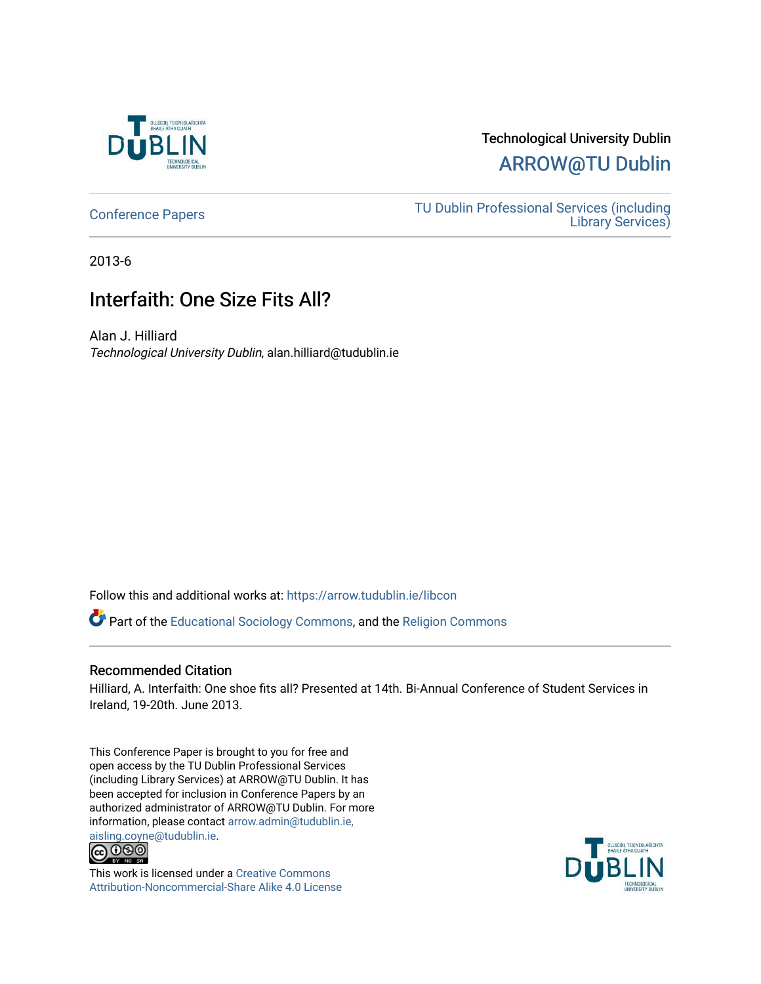

## Technological University Dublin [ARROW@TU Dublin](https://arrow.tudublin.ie/)

[Conference Papers](https://arrow.tudublin.ie/libcon) [TU Dublin Professional Services \(including](https://arrow.tudublin.ie/library)  [Library Services\)](https://arrow.tudublin.ie/library) 

2013-6

## Interfaith: One Size Fits All?

Alan J. Hilliard Technological University Dublin, alan.hilliard@tudublin.ie

Follow this and additional works at: [https://arrow.tudublin.ie/libcon](https://arrow.tudublin.ie/libcon?utm_source=arrow.tudublin.ie%2Flibcon%2F2&utm_medium=PDF&utm_campaign=PDFCoverPages) 

Part of the [Educational Sociology Commons,](http://network.bepress.com/hgg/discipline/1071?utm_source=arrow.tudublin.ie%2Flibcon%2F2&utm_medium=PDF&utm_campaign=PDFCoverPages) and the [Religion Commons](http://network.bepress.com/hgg/discipline/538?utm_source=arrow.tudublin.ie%2Flibcon%2F2&utm_medium=PDF&utm_campaign=PDFCoverPages)

#### Recommended Citation

Hilliard, A. Interfaith: One shoe fits all? Presented at 14th. Bi-Annual Conference of Student Services in Ireland, 19-20th. June 2013.

This Conference Paper is brought to you for free and open access by the TU Dublin Professional Services (including Library Services) at ARROW@TU Dublin. It has been accepted for inclusion in Conference Papers by an authorized administrator of ARROW@TU Dublin. For more information, please contact [arrow.admin@tudublin.ie,](mailto:arrow.admin@tudublin.ie,%20aisling.coyne@tudublin.ie) 



This work is licensed under a [Creative Commons](http://creativecommons.org/licenses/by-nc-sa/4.0/) [Attribution-Noncommercial-Share Alike 4.0 License](http://creativecommons.org/licenses/by-nc-sa/4.0/)

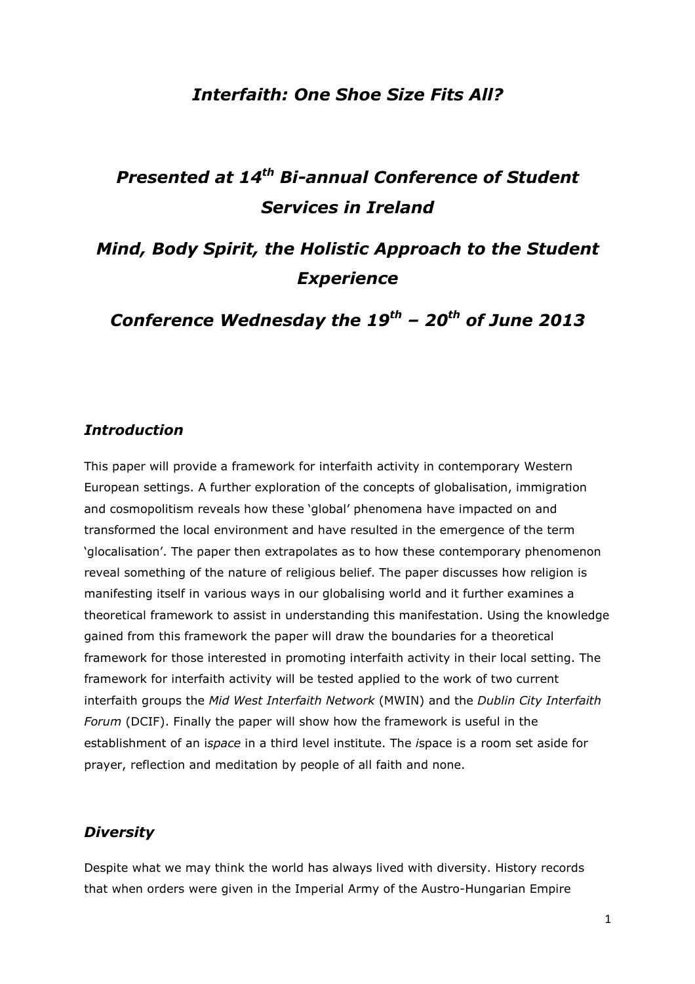## Interfaith: One Shoe Size Fits All?

# Presented at 14<sup>th</sup> Bi-annual Conference of Student Services in Ireland

# Mind, Body Spirit, the Holistic Approach to the Student **Experience**

Conference Wednesday the  $19^{th}$  –  $20^{th}$  of June 2013

## Introduction

This paper will provide a framework for interfaith activity in contemporary Western European settings. A further exploration of the concepts of globalisation, immigration and cosmopolitism reveals how these 'global' phenomena have impacted on and transformed the local environment and have resulted in the emergence of the term 'glocalisation'. The paper then extrapolates as to how these contemporary phenomenon reveal something of the nature of religious belief. The paper discusses how religion is manifesting itself in various ways in our globalising world and it further examines a theoretical framework to assist in understanding this manifestation. Using the knowledge gained from this framework the paper will draw the boundaries for a theoretical framework for those interested in promoting interfaith activity in their local setting. The framework for interfaith activity will be tested applied to the work of two current interfaith groups the Mid West Interfaith Network (MWIN) and the Dublin City Interfaith Forum (DCIF). Finally the paper will show how the framework is useful in the establishment of an ispace in a third level institute. The ispace is a room set aside for prayer, reflection and meditation by people of all faith and none.

## **Diversity**

Despite what we may think the world has always lived with diversity. History records that when orders were given in the Imperial Army of the Austro-Hungarian Empire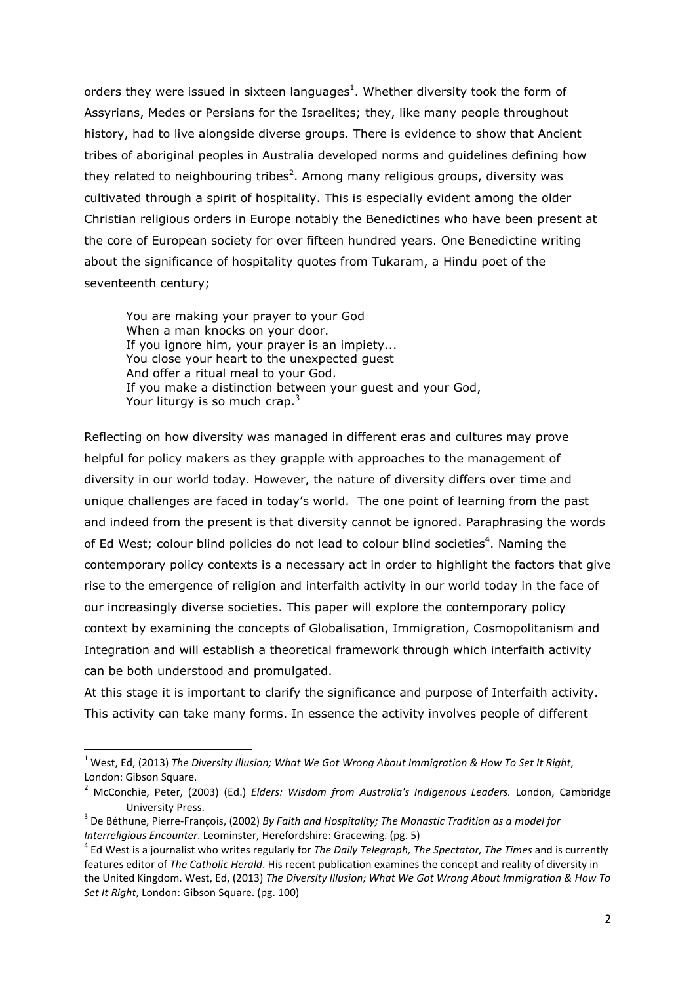orders they were issued in sixteen languages<sup>1</sup>. Whether diversity took the form of Assyrians, Medes or Persians for the Israelites; they, like many people throughout history, had to live alongside diverse groups. There is evidence to show that Ancient tribes of aboriginal peoples in Australia developed norms and guidelines defining how they related to neighbouring tribes<sup>2</sup>. Among many religious groups, diversity was cultivated through a spirit of hospitality. This is especially evident among the older Christian religious orders in Europe notably the Benedictines who have been present at the core of European society for over fifteen hundred years. One Benedictine writing about the significance of hospitality quotes from Tukaram, a Hindu poet of the seventeenth century;

 You are making your prayer to your God When a man knocks on your door. If you ignore him, your prayer is an impiety... You close your heart to the unexpected guest And offer a ritual meal to your God. If you make a distinction between your guest and your God, Your liturgy is so much crap. $3$ 

Reflecting on how diversity was managed in different eras and cultures may prove helpful for policy makers as they grapple with approaches to the management of diversity in our world today. However, the nature of diversity differs over time and unique challenges are faced in today's world. The one point of learning from the past and indeed from the present is that diversity cannot be ignored. Paraphrasing the words of Ed West; colour blind policies do not lead to colour blind societies<sup>4</sup>. Naming the contemporary policy contexts is a necessary act in order to highlight the factors that give rise to the emergence of religion and interfaith activity in our world today in the face of our increasingly diverse societies. This paper will explore the contemporary policy context by examining the concepts of Globalisation, Immigration, Cosmopolitanism and Integration and will establish a theoretical framework through which interfaith activity can be both understood and promulgated.

At this stage it is important to clarify the significance and purpose of Interfaith activity. This activity can take many forms. In essence the activity involves people of different

 $\overline{a}$ 

 $^{\rm 1}$  West, Ed, (2013) The Diversity Illusion; What We Got Wrong About Immigration & How To Set It Right, London: Gibson Square.

<sup>&</sup>lt;sup>2</sup> McConchie, Peter, (2003) (Ed.) Elders: Wisdom from Australia's Indigenous Leaders. London, Cambridge University Press.

 $^3$  De Béthune, Pierre-François, (2002) By Faith and Hospitality; The Monastic Tradition as a model for Interreligious Encounter. Leominster, Herefordshire: Gracewing. (pg. 5)

<sup>&</sup>lt;sup>4</sup> Ed West is a journalist who writes regularly for *The Daily Telegraph, The Spectator, The Times* and is currently features editor of The Catholic Herald. His recent publication examines the concept and reality of diversity in the United Kingdom. West, Ed, (2013) The Diversity Illusion; What We Got Wrong About Immigration & How To Set It Right, London: Gibson Square. (pg. 100)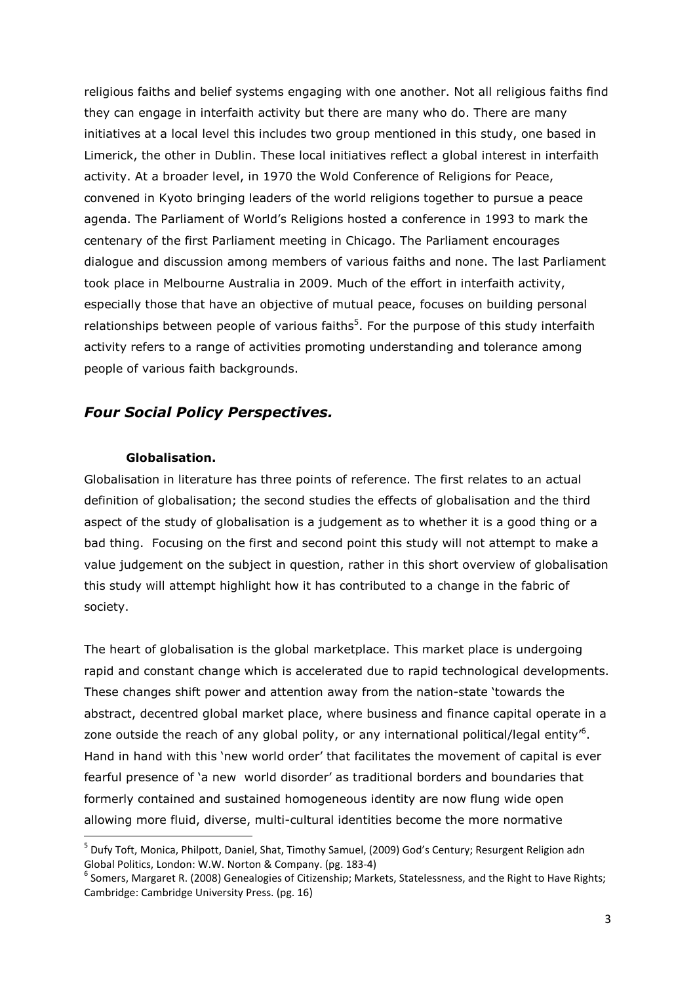religious faiths and belief systems engaging with one another. Not all religious faiths find they can engage in interfaith activity but there are many who do. There are many initiatives at a local level this includes two group mentioned in this study, one based in Limerick, the other in Dublin. These local initiatives reflect a global interest in interfaith activity. At a broader level, in 1970 the Wold Conference of Religions for Peace, convened in Kyoto bringing leaders of the world religions together to pursue a peace agenda. The Parliament of World's Religions hosted a conference in 1993 to mark the centenary of the first Parliament meeting in Chicago. The Parliament encourages dialogue and discussion among members of various faiths and none. The last Parliament took place in Melbourne Australia in 2009. Much of the effort in interfaith activity, especially those that have an objective of mutual peace, focuses on building personal relationships between people of various faiths<sup>5</sup>. For the purpose of this study interfaith activity refers to a range of activities promoting understanding and tolerance among people of various faith backgrounds.

## Four Social Policy Perspectives.

#### Globalisation.

 $\overline{\phantom{0}}$ 

Globalisation in literature has three points of reference. The first relates to an actual definition of globalisation; the second studies the effects of globalisation and the third aspect of the study of globalisation is a judgement as to whether it is a good thing or a bad thing. Focusing on the first and second point this study will not attempt to make a value judgement on the subject in question, rather in this short overview of globalisation this study will attempt highlight how it has contributed to a change in the fabric of society.

The heart of globalisation is the global marketplace. This market place is undergoing rapid and constant change which is accelerated due to rapid technological developments. These changes shift power and attention away from the nation-state 'towards the abstract, decentred global market place, where business and finance capital operate in a zone outside the reach of any global polity, or any international political/legal entity<sup>16</sup>. Hand in hand with this 'new world order' that facilitates the movement of capital is ever fearful presence of 'a new world disorder' as traditional borders and boundaries that formerly contained and sustained homogeneous identity are now flung wide open allowing more fluid, diverse, multi-cultural identities become the more normative

<sup>&</sup>lt;sup>5</sup> Dufy Toft, Monica, Philpott, Daniel, Shat, Timothy Samuel, (2009) God's Century; Resurgent Religion adn Global Politics, London: W.W. Norton & Company. (pg. 183-4)

 $^6$  Somers, Margaret R. (2008) Genealogies of Citizenship; Markets, Statelessness, and the Right to Have Rights; Cambridge: Cambridge University Press. (pg. 16)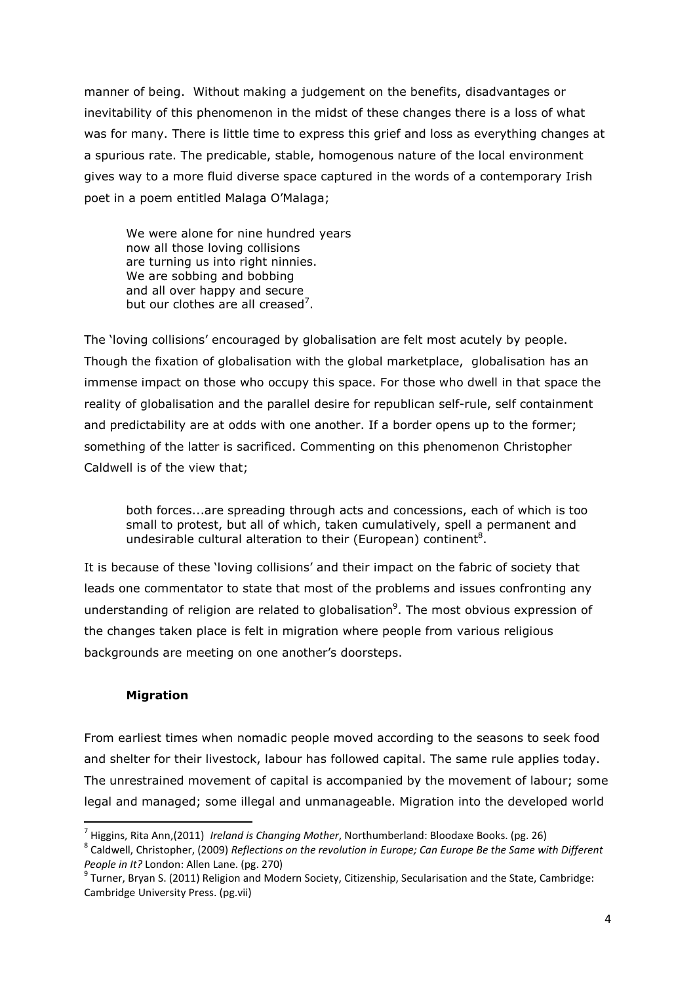manner of being. Without making a judgement on the benefits, disadvantages or inevitability of this phenomenon in the midst of these changes there is a loss of what was for many. There is little time to express this grief and loss as everything changes at a spurious rate. The predicable, stable, homogenous nature of the local environment gives way to a more fluid diverse space captured in the words of a contemporary Irish poet in a poem entitled Malaga O'Malaga;

 We were alone for nine hundred years now all those loving collisions are turning us into right ninnies. We are sobbing and bobbing and all over happy and secure but our clothes are all creased<sup>7</sup>.

The 'loving collisions' encouraged by globalisation are felt most acutely by people. Though the fixation of globalisation with the global marketplace, globalisation has an immense impact on those who occupy this space. For those who dwell in that space the reality of globalisation and the parallel desire for republican self-rule, self containment and predictability are at odds with one another. If a border opens up to the former; something of the latter is sacrificed. Commenting on this phenomenon Christopher Caldwell is of the view that;

both forces...are spreading through acts and concessions, each of which is too small to protest, but all of which, taken cumulatively, spell a permanent and undesirable cultural alteration to their (European) continent<sup>8</sup>.

It is because of these 'loving collisions' and their impact on the fabric of society that leads one commentator to state that most of the problems and issues confronting any understanding of religion are related to globalisation<sup>9</sup>. The most obvious expression of the changes taken place is felt in migration where people from various religious backgrounds are meeting on one another's doorsteps.

#### Migration

l

From earliest times when nomadic people moved according to the seasons to seek food and shelter for their livestock, labour has followed capital. The same rule applies today. The unrestrained movement of capital is accompanied by the movement of labour; some legal and managed; some illegal and unmanageable. Migration into the developed world

<sup>&</sup>lt;sup>7</sup> Higgins, Rita Ann,(2011) *Ireland is Changing Mother*, Northumberland: Bloodaxe Books. (pg. 26)

 $^8$  Caldwell, Christopher, (2009) Reflections on the revolution in Europe; Can Europe Be the Same with Different People in It? London: Allen Lane. (pg. 270)

 $^9$  Turner, Bryan S. (2011) Religion and Modern Society, Citizenship, Secularisation and the State, Cambridge: Cambridge University Press. (pg.vii)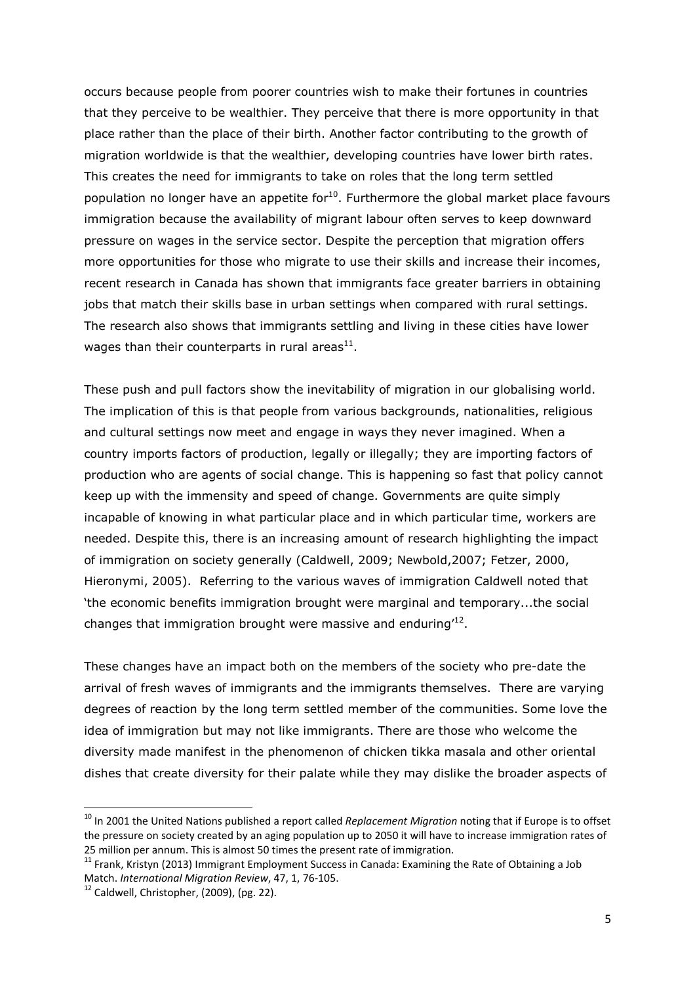occurs because people from poorer countries wish to make their fortunes in countries that they perceive to be wealthier. They perceive that there is more opportunity in that place rather than the place of their birth. Another factor contributing to the growth of migration worldwide is that the wealthier, developing countries have lower birth rates. This creates the need for immigrants to take on roles that the long term settled population no longer have an appetite for $10$ . Furthermore the global market place favours immigration because the availability of migrant labour often serves to keep downward pressure on wages in the service sector. Despite the perception that migration offers more opportunities for those who migrate to use their skills and increase their incomes, recent research in Canada has shown that immigrants face greater barriers in obtaining jobs that match their skills base in urban settings when compared with rural settings. The research also shows that immigrants settling and living in these cities have lower wages than their counterparts in rural areas $^{11}$ .

These push and pull factors show the inevitability of migration in our globalising world. The implication of this is that people from various backgrounds, nationalities, religious and cultural settings now meet and engage in ways they never imagined. When a country imports factors of production, legally or illegally; they are importing factors of production who are agents of social change. This is happening so fast that policy cannot keep up with the immensity and speed of change. Governments are quite simply incapable of knowing in what particular place and in which particular time, workers are needed. Despite this, there is an increasing amount of research highlighting the impact of immigration on society generally (Caldwell, 2009; Newbold,2007; Fetzer, 2000, Hieronymi, 2005). Referring to the various waves of immigration Caldwell noted that 'the economic benefits immigration brought were marginal and temporary...the social changes that immigration brought were massive and enduring $^{\prime 12}$ .

These changes have an impact both on the members of the society who pre-date the arrival of fresh waves of immigrants and the immigrants themselves. There are varying degrees of reaction by the long term settled member of the communities. Some love the idea of immigration but may not like immigrants. There are those who welcome the diversity made manifest in the phenomenon of chicken tikka masala and other oriental dishes that create diversity for their palate while they may dislike the broader aspects of

l

 $10$  In 2001 the United Nations published a report called Replacement Migration noting that if Europe is to offset the pressure on society created by an aging population up to 2050 it will have to increase immigration rates of 25 million per annum. This is almost 50 times the present rate of immigration.

 $11$  Frank, Kristyn (2013) Immigrant Employment Success in Canada: Examining the Rate of Obtaining a Job Match. International Migration Review, 47, 1, 76-105.

 $12$  Caldwell, Christopher, (2009), (pg. 22).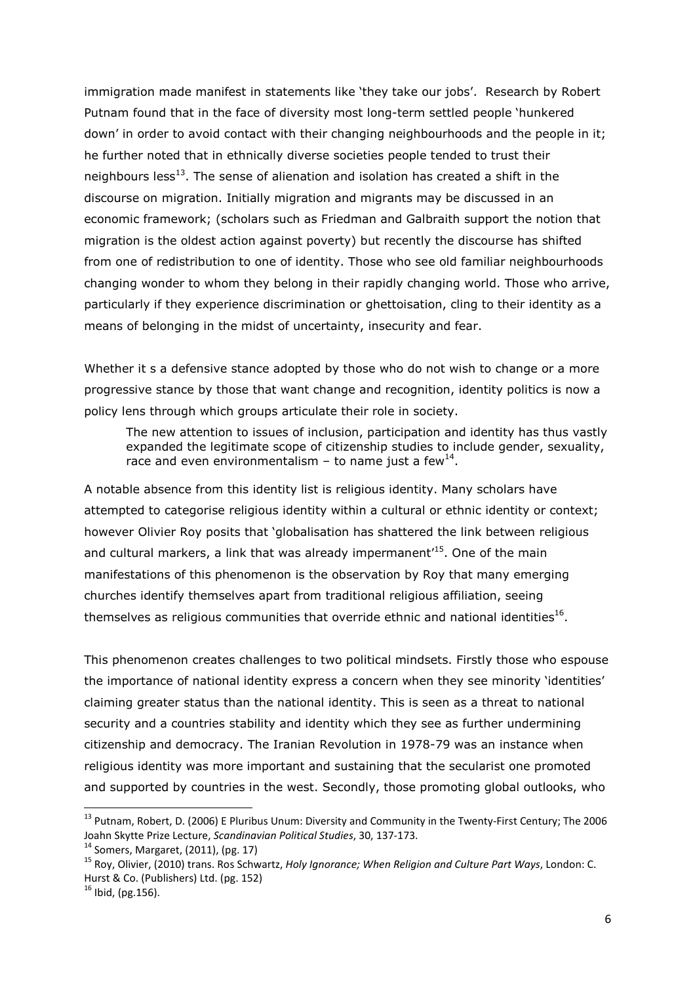immigration made manifest in statements like 'they take our jobs'. Research by Robert Putnam found that in the face of diversity most long-term settled people 'hunkered down' in order to avoid contact with their changing neighbourhoods and the people in it; he further noted that in ethnically diverse societies people tended to trust their neighbours less<sup>13</sup>. The sense of alienation and isolation has created a shift in the discourse on migration. Initially migration and migrants may be discussed in an economic framework; (scholars such as Friedman and Galbraith support the notion that migration is the oldest action against poverty) but recently the discourse has shifted from one of redistribution to one of identity. Those who see old familiar neighbourhoods changing wonder to whom they belong in their rapidly changing world. Those who arrive, particularly if they experience discrimination or ghettoisation, cling to their identity as a means of belonging in the midst of uncertainty, insecurity and fear.

Whether it s a defensive stance adopted by those who do not wish to change or a more progressive stance by those that want change and recognition, identity politics is now a policy lens through which groups articulate their role in society.

The new attention to issues of inclusion, participation and identity has thus vastly expanded the legitimate scope of citizenship studies to include gender, sexuality, race and even environmentalism – to name just a few<sup>14</sup>.

A notable absence from this identity list is religious identity. Many scholars have attempted to categorise religious identity within a cultural or ethnic identity or context; however Olivier Roy posits that 'globalisation has shattered the link between religious and cultural markers, a link that was already impermanent<sup>15</sup>. One of the main manifestations of this phenomenon is the observation by Roy that many emerging churches identify themselves apart from traditional religious affiliation, seeing themselves as religious communities that override ethnic and national identities $^{16}$ .

This phenomenon creates challenges to two political mindsets. Firstly those who espouse the importance of national identity express a concern when they see minority 'identities' claiming greater status than the national identity. This is seen as a threat to national security and a countries stability and identity which they see as further undermining citizenship and democracy. The Iranian Revolution in 1978-79 was an instance when religious identity was more important and sustaining that the secularist one promoted and supported by countries in the west. Secondly, those promoting global outlooks, who

l

<sup>&</sup>lt;sup>13</sup> Putnam, Robert, D. (2006) E Pluribus Unum: Diversity and Community in the Twenty-First Century; The 2006 Joahn Skytte Prize Lecture, Scandinavian Political Studies, 30, 137-173.

 $14$  Somers, Margaret, (2011), (pg. 17)

<sup>&</sup>lt;sup>15</sup> Roy, Olivier, (2010) trans. Ros Schwartz, Holy Ignorance; When Religion and Culture Part Ways, London: C. Hurst & Co. (Publishers) Ltd. (pg. 152)

 $16$  Ibid, (pg. 156).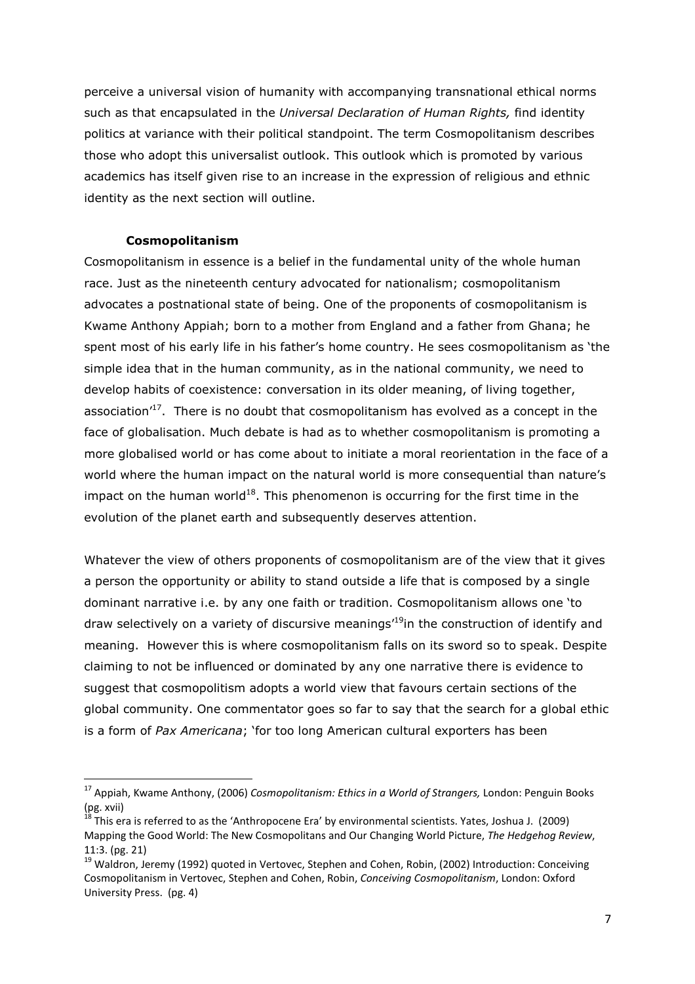perceive a universal vision of humanity with accompanying transnational ethical norms such as that encapsulated in the Universal Declaration of Human Rights, find identity politics at variance with their political standpoint. The term Cosmopolitanism describes those who adopt this universalist outlook. This outlook which is promoted by various academics has itself given rise to an increase in the expression of religious and ethnic identity as the next section will outline.

#### Cosmopolitanism

 $\overline{a}$ 

Cosmopolitanism in essence is a belief in the fundamental unity of the whole human race. Just as the nineteenth century advocated for nationalism; cosmopolitanism advocates a postnational state of being. One of the proponents of cosmopolitanism is Kwame Anthony Appiah; born to a mother from England and a father from Ghana; he spent most of his early life in his father's home country. He sees cosmopolitanism as 'the simple idea that in the human community, as in the national community, we need to develop habits of coexistence: conversation in its older meaning, of living together, association'<sup>17</sup>. There is no doubt that cosmopolitanism has evolved as a concept in the face of globalisation. Much debate is had as to whether cosmopolitanism is promoting a more globalised world or has come about to initiate a moral reorientation in the face of a world where the human impact on the natural world is more consequential than nature's impact on the human world<sup>18</sup>. This phenomenon is occurring for the first time in the evolution of the planet earth and subsequently deserves attention.

Whatever the view of others proponents of cosmopolitanism are of the view that it gives a person the opportunity or ability to stand outside a life that is composed by a single dominant narrative i.e. by any one faith or tradition. Cosmopolitanism allows one 'to draw selectively on a variety of discursive meanings<sup>19</sup>in the construction of identify and meaning. However this is where cosmopolitanism falls on its sword so to speak. Despite claiming to not be influenced or dominated by any one narrative there is evidence to suggest that cosmopolitism adopts a world view that favours certain sections of the global community. One commentator goes so far to say that the search for a global ethic is a form of Pax Americana; 'for too long American cultural exporters has been

<sup>&</sup>lt;sup>17</sup> Appiah, Kwame Anthony, (2006) Cosmopolitanism: Ethics in a World of Strangers, London: Penguin Books (pg. xvii)

<sup>18</sup> This era is referred to as the 'Anthropocene Era' by environmental scientists. Yates, Joshua J. (2009) Mapping the Good World: The New Cosmopolitans and Our Changing World Picture, The Hedgehog Review, 11:3. (pg. 21)

<sup>&</sup>lt;sup>19</sup> Waldron, Jeremy (1992) quoted in Vertovec, Stephen and Cohen, Robin, (2002) Introduction: Conceiving Cosmopolitanism in Vertovec, Stephen and Cohen, Robin, Conceiving Cosmopolitanism, London: Oxford University Press. (pg. 4)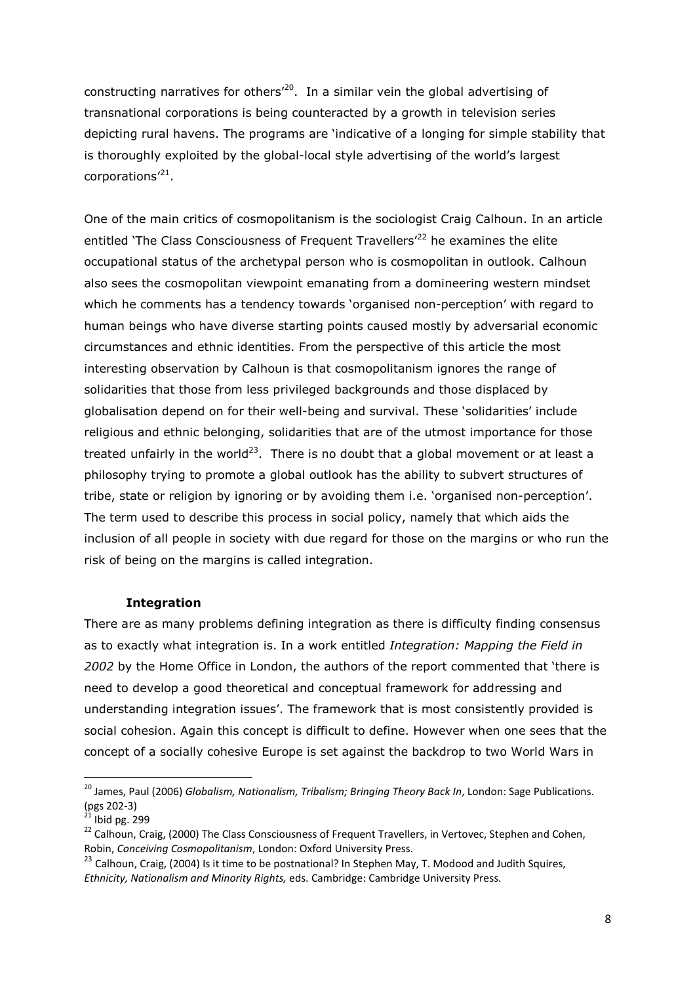constructing narratives for others<sup> $20$ </sup>. In a similar vein the global advertising of transnational corporations is being counteracted by a growth in television series depicting rural havens. The programs are 'indicative of a longing for simple stability that is thoroughly exploited by the global-local style advertising of the world's largest corporations'<sup>21</sup>.

One of the main critics of cosmopolitanism is the sociologist Craig Calhoun. In an article entitled 'The Class Consciousness of Frequent Travellers<sup>'22</sup> he examines the elite occupational status of the archetypal person who is cosmopolitan in outlook. Calhoun also sees the cosmopolitan viewpoint emanating from a domineering western mindset which he comments has a tendency towards 'organised non-perception' with regard to human beings who have diverse starting points caused mostly by adversarial economic circumstances and ethnic identities. From the perspective of this article the most interesting observation by Calhoun is that cosmopolitanism ignores the range of solidarities that those from less privileged backgrounds and those displaced by globalisation depend on for their well-being and survival. These 'solidarities' include religious and ethnic belonging, solidarities that are of the utmost importance for those treated unfairly in the world<sup>23</sup>. There is no doubt that a global movement or at least a philosophy trying to promote a global outlook has the ability to subvert structures of tribe, state or religion by ignoring or by avoiding them i.e. 'organised non-perception'. The term used to describe this process in social policy, namely that which aids the inclusion of all people in society with due regard for those on the margins or who run the risk of being on the margins is called integration.

#### Integration

There are as many problems defining integration as there is difficulty finding consensus as to exactly what integration is. In a work entitled Integration: Mapping the Field in 2002 by the Home Office in London, the authors of the report commented that 'there is need to develop a good theoretical and conceptual framework for addressing and understanding integration issues'. The framework that is most consistently provided is social cohesion. Again this concept is difficult to define. However when one sees that the concept of a socially cohesive Europe is set against the backdrop to two World Wars in

 $\overline{a}$ 

<sup>&</sup>lt;sup>20</sup> James, Paul (2006) Globalism, Nationalism, Tribalism; Bringing Theory Back In, London: Sage Publications. (pgs 202-3)

 $^{21}$  Ibid pg. 299

<sup>&</sup>lt;sup>22</sup> Calhoun, Craig, (2000) The Class Consciousness of Frequent Travellers, in Vertovec, Stephen and Cohen, Robin, Conceiving Cosmopolitanism, London: Oxford University Press.

<sup>&</sup>lt;sup>23</sup> Calhoun, Craig, (2004) Is it time to be postnational? In Stephen May, T. Modood and Judith Squires, Ethnicity, Nationalism and Minority Rights, eds. Cambridge: Cambridge University Press.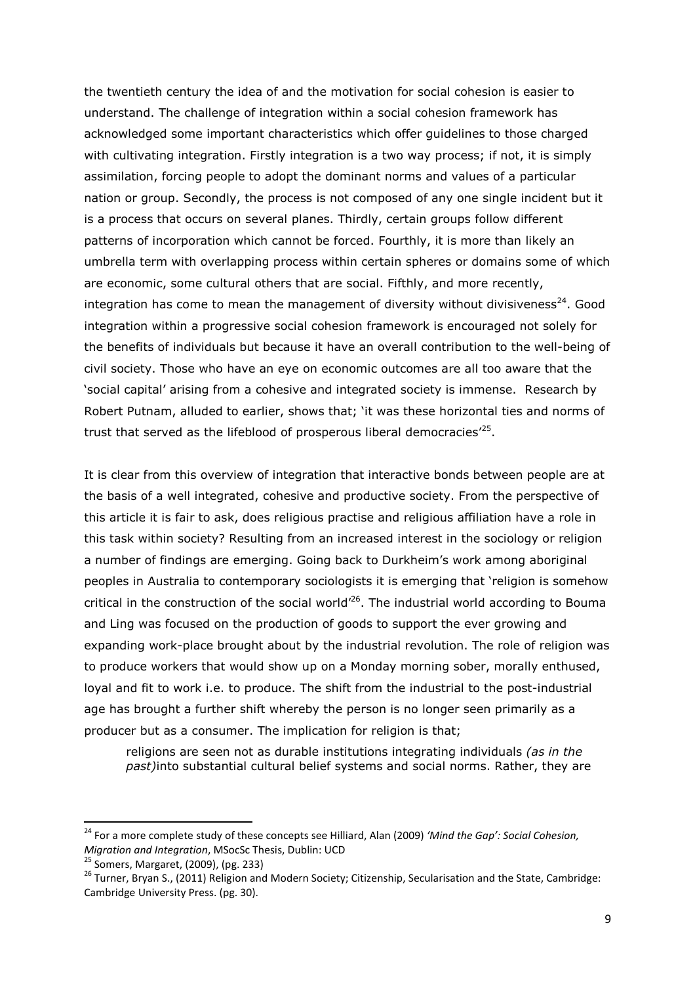the twentieth century the idea of and the motivation for social cohesion is easier to understand. The challenge of integration within a social cohesion framework has acknowledged some important characteristics which offer guidelines to those charged with cultivating integration. Firstly integration is a two way process; if not, it is simply assimilation, forcing people to adopt the dominant norms and values of a particular nation or group. Secondly, the process is not composed of any one single incident but it is a process that occurs on several planes. Thirdly, certain groups follow different patterns of incorporation which cannot be forced. Fourthly, it is more than likely an umbrella term with overlapping process within certain spheres or domains some of which are economic, some cultural others that are social. Fifthly, and more recently, integration has come to mean the management of diversity without divisiveness<sup>24</sup>. Good integration within a progressive social cohesion framework is encouraged not solely for the benefits of individuals but because it have an overall contribution to the well-being of civil society. Those who have an eye on economic outcomes are all too aware that the 'social capital' arising from a cohesive and integrated society is immense. Research by Robert Putnam, alluded to earlier, shows that; 'it was these horizontal ties and norms of trust that served as the lifeblood of prosperous liberal democracies<sup>125</sup>.

It is clear from this overview of integration that interactive bonds between people are at the basis of a well integrated, cohesive and productive society. From the perspective of this article it is fair to ask, does religious practise and religious affiliation have a role in this task within society? Resulting from an increased interest in the sociology or religion a number of findings are emerging. Going back to Durkheim's work among aboriginal peoples in Australia to contemporary sociologists it is emerging that 'religion is somehow critical in the construction of the social world'<sup>26</sup>. The industrial world according to Bouma and Ling was focused on the production of goods to support the ever growing and expanding work-place brought about by the industrial revolution. The role of religion was to produce workers that would show up on a Monday morning sober, morally enthused, loyal and fit to work i.e. to produce. The shift from the industrial to the post-industrial age has brought a further shift whereby the person is no longer seen primarily as a producer but as a consumer. The implication for religion is that;

religions are seen not as durable institutions integrating individuals *(as in the* past)into substantial cultural belief systems and social norms. Rather, they are

l

<sup>&</sup>lt;sup>24</sup> For a more complete study of these concepts see Hilliard, Alan (2009) 'Mind the Gap': Social Cohesion, Migration and Integration, MSocSc Thesis, Dublin: UCD

<sup>25</sup> Somers, Margaret, (2009), (pg. 233)

<sup>&</sup>lt;sup>26</sup> Turner, Bryan S., (2011) Religion and Modern Society; Citizenship, Secularisation and the State, Cambridge: Cambridge University Press. (pg. 30).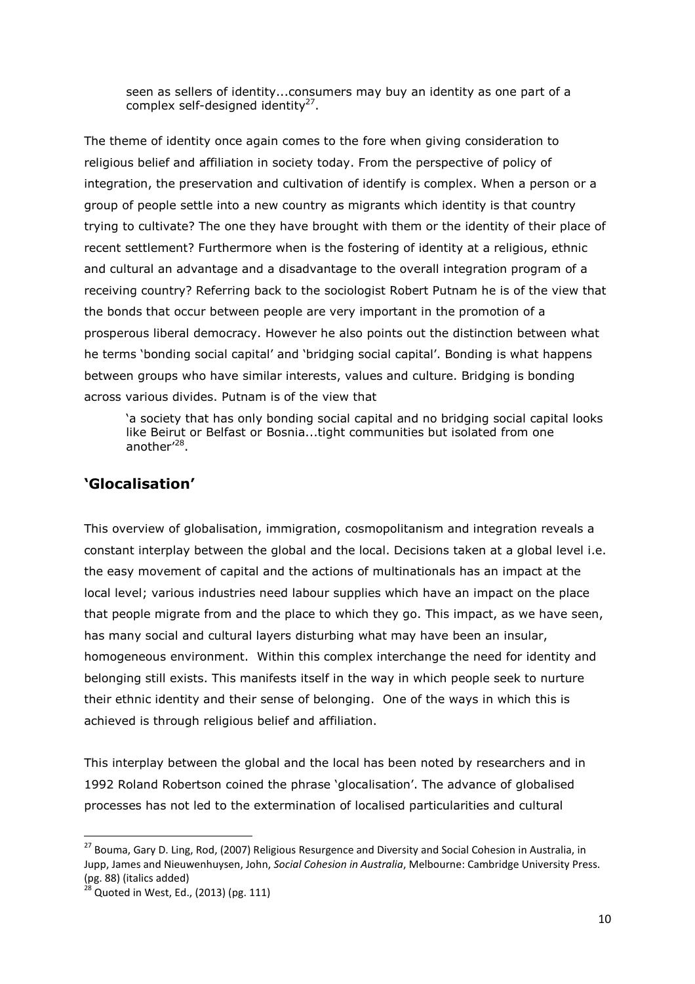seen as sellers of identity...consumers may buy an identity as one part of a complex self-designed identity<sup>27</sup>.

The theme of identity once again comes to the fore when giving consideration to religious belief and affiliation in society today. From the perspective of policy of integration, the preservation and cultivation of identify is complex. When a person or a group of people settle into a new country as migrants which identity is that country trying to cultivate? The one they have brought with them or the identity of their place of recent settlement? Furthermore when is the fostering of identity at a religious, ethnic and cultural an advantage and a disadvantage to the overall integration program of a receiving country? Referring back to the sociologist Robert Putnam he is of the view that the bonds that occur between people are very important in the promotion of a prosperous liberal democracy. However he also points out the distinction between what he terms 'bonding social capital' and 'bridging social capital'. Bonding is what happens between groups who have similar interests, values and culture. Bridging is bonding across various divides. Putnam is of the view that

'a society that has only bonding social capital and no bridging social capital looks like Beirut or Belfast or Bosnia...tight communities but isolated from one another'<sup>28</sup>.

## 'Glocalisation'

This overview of globalisation, immigration, cosmopolitanism and integration reveals a constant interplay between the global and the local. Decisions taken at a global level i.e. the easy movement of capital and the actions of multinationals has an impact at the local level; various industries need labour supplies which have an impact on the place that people migrate from and the place to which they go. This impact, as we have seen, has many social and cultural layers disturbing what may have been an insular, homogeneous environment. Within this complex interchange the need for identity and belonging still exists. This manifests itself in the way in which people seek to nurture their ethnic identity and their sense of belonging. One of the ways in which this is achieved is through religious belief and affiliation.

This interplay between the global and the local has been noted by researchers and in 1992 Roland Robertson coined the phrase 'glocalisation'. The advance of globalised processes has not led to the extermination of localised particularities and cultural

 $\overline{\phantom{0}}$ 

<sup>&</sup>lt;sup>27</sup> Bouma. Gary D. Ling. Rod, (2007) Religious Resurgence and Diversity and Social Cohesion in Australia, in Jupp, James and Nieuwenhuysen, John, Social Cohesion in Australia, Melbourne: Cambridge University Press.  $(pg. 88)$  (italics added)

<sup>28</sup> Quoted in West, Ed., (2013) (pg. 111)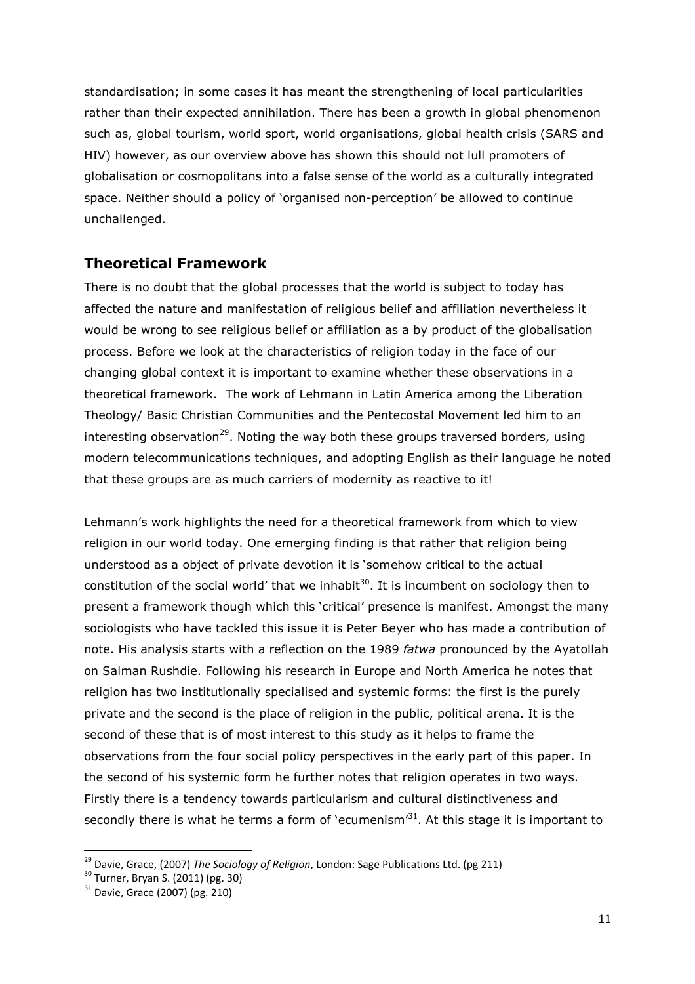standardisation; in some cases it has meant the strengthening of local particularities rather than their expected annihilation. There has been a growth in global phenomenon such as, global tourism, world sport, world organisations, global health crisis (SARS and HIV) however, as our overview above has shown this should not lull promoters of globalisation or cosmopolitans into a false sense of the world as a culturally integrated space. Neither should a policy of 'organised non-perception' be allowed to continue unchallenged.

## Theoretical Framework

There is no doubt that the global processes that the world is subject to today has affected the nature and manifestation of religious belief and affiliation nevertheless it would be wrong to see religious belief or affiliation as a by product of the globalisation process. Before we look at the characteristics of religion today in the face of our changing global context it is important to examine whether these observations in a theoretical framework. The work of Lehmann in Latin America among the Liberation Theology/ Basic Christian Communities and the Pentecostal Movement led him to an interesting observation<sup>29</sup>. Noting the way both these groups traversed borders, using modern telecommunications techniques, and adopting English as their language he noted that these groups are as much carriers of modernity as reactive to it!

Lehmann's work highlights the need for a theoretical framework from which to view religion in our world today. One emerging finding is that rather that religion being understood as a object of private devotion it is 'somehow critical to the actual constitution of the social world' that we inhabit<sup>30</sup>. It is incumbent on sociology then to present a framework though which this 'critical' presence is manifest. Amongst the many sociologists who have tackled this issue it is Peter Beyer who has made a contribution of note. His analysis starts with a reflection on the 1989 fatwa pronounced by the Ayatollah on Salman Rushdie. Following his research in Europe and North America he notes that religion has two institutionally specialised and systemic forms: the first is the purely private and the second is the place of religion in the public, political arena. It is the second of these that is of most interest to this study as it helps to frame the observations from the four social policy perspectives in the early part of this paper. In the second of his systemic form he further notes that religion operates in two ways. Firstly there is a tendency towards particularism and cultural distinctiveness and secondly there is what he terms a form of 'ecumenism $^{31}$ . At this stage it is important to

 $\overline{a}$ 

 $^{29}$  Davie, Grace, (2007) The Sociology of Religion, London: Sage Publications Ltd. (pg 211)

Bavie, Gracc, (2007, *me* bodiers<br><sup>30</sup> Turner, Bryan S. (2011) (pg. 30)

<sup>31</sup> Davie, Grace (2007) (pg. 210)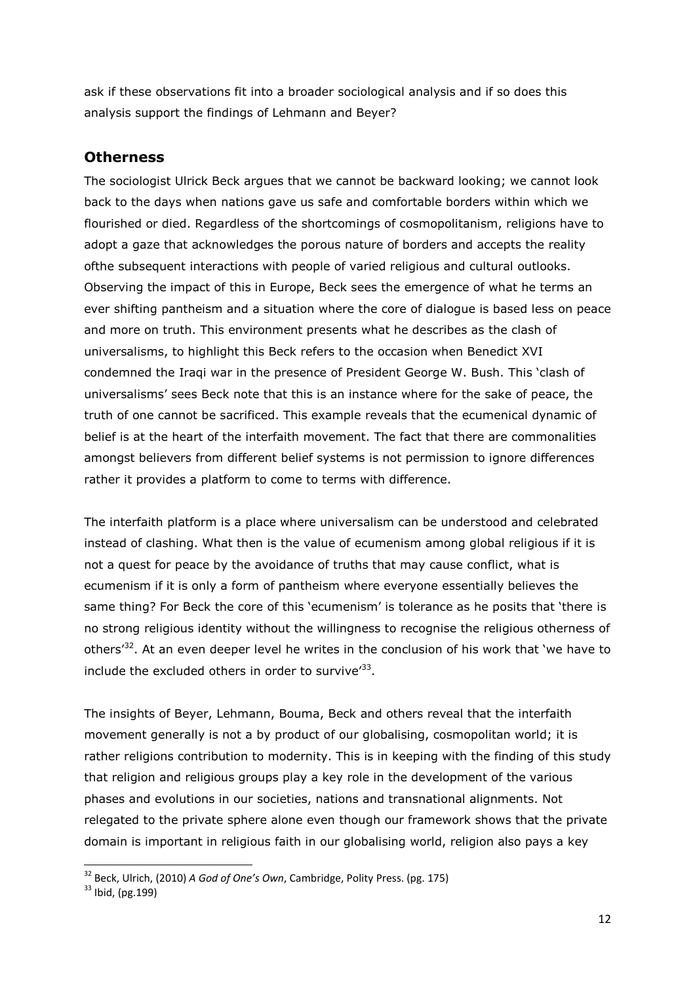ask if these observations fit into a broader sociological analysis and if so does this analysis support the findings of Lehmann and Beyer?

### **Otherness**

The sociologist Ulrick Beck argues that we cannot be backward looking; we cannot look back to the days when nations gave us safe and comfortable borders within which we flourished or died. Regardless of the shortcomings of cosmopolitanism, religions have to adopt a gaze that acknowledges the porous nature of borders and accepts the reality ofthe subsequent interactions with people of varied religious and cultural outlooks. Observing the impact of this in Europe, Beck sees the emergence of what he terms an ever shifting pantheism and a situation where the core of dialogue is based less on peace and more on truth. This environment presents what he describes as the clash of universalisms, to highlight this Beck refers to the occasion when Benedict XVI condemned the Iraqi war in the presence of President George W. Bush. This 'clash of universalisms' sees Beck note that this is an instance where for the sake of peace, the truth of one cannot be sacrificed. This example reveals that the ecumenical dynamic of belief is at the heart of the interfaith movement. The fact that there are commonalities amongst believers from different belief systems is not permission to ignore differences rather it provides a platform to come to terms with difference.

The interfaith platform is a place where universalism can be understood and celebrated instead of clashing. What then is the value of ecumenism among global religious if it is not a quest for peace by the avoidance of truths that may cause conflict, what is ecumenism if it is only a form of pantheism where everyone essentially believes the same thing? For Beck the core of this 'ecumenism' is tolerance as he posits that 'there is no strong religious identity without the willingness to recognise the religious otherness of others<sup>32</sup>. At an even deeper level he writes in the conclusion of his work that 'we have to include the excluded others in order to survive<sup>'33</sup>.

The insights of Beyer, Lehmann, Bouma, Beck and others reveal that the interfaith movement generally is not a by product of our globalising, cosmopolitan world; it is rather religions contribution to modernity. This is in keeping with the finding of this study that religion and religious groups play a key role in the development of the various phases and evolutions in our societies, nations and transnational alignments. Not relegated to the private sphere alone even though our framework shows that the private domain is important in religious faith in our globalising world, religion also pays a key

 $\overline{\phantom{0}}$ 

<sup>&</sup>lt;sup>32</sup> Beck, Ulrich, (2010) A God of One's Own, Cambridge, Polity Press. (pg. 175)

<sup>33</sup> Ibid, (pg.199)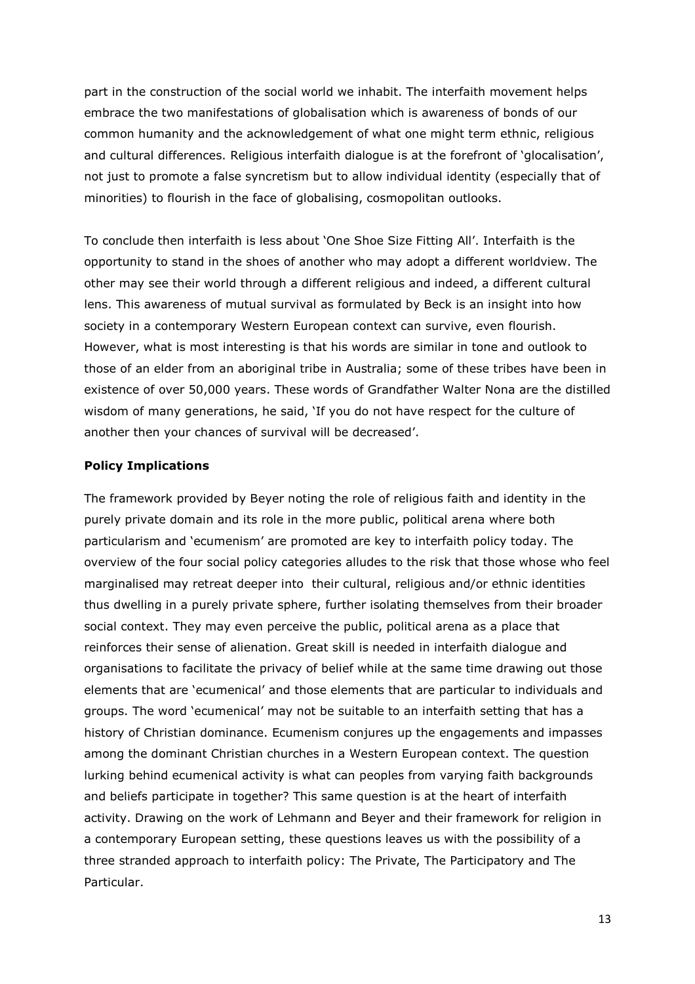part in the construction of the social world we inhabit. The interfaith movement helps embrace the two manifestations of globalisation which is awareness of bonds of our common humanity and the acknowledgement of what one might term ethnic, religious and cultural differences. Religious interfaith dialogue is at the forefront of 'glocalisation', not just to promote a false syncretism but to allow individual identity (especially that of minorities) to flourish in the face of globalising, cosmopolitan outlooks.

To conclude then interfaith is less about 'One Shoe Size Fitting All'. Interfaith is the opportunity to stand in the shoes of another who may adopt a different worldview. The other may see their world through a different religious and indeed, a different cultural lens. This awareness of mutual survival as formulated by Beck is an insight into how society in a contemporary Western European context can survive, even flourish. However, what is most interesting is that his words are similar in tone and outlook to those of an elder from an aboriginal tribe in Australia; some of these tribes have been in existence of over 50,000 years. These words of Grandfather Walter Nona are the distilled wisdom of many generations, he said, 'If you do not have respect for the culture of another then your chances of survival will be decreased'.

#### Policy Implications

The framework provided by Beyer noting the role of religious faith and identity in the purely private domain and its role in the more public, political arena where both particularism and 'ecumenism' are promoted are key to interfaith policy today. The overview of the four social policy categories alludes to the risk that those whose who feel marginalised may retreat deeper into their cultural, religious and/or ethnic identities thus dwelling in a purely private sphere, further isolating themselves from their broader social context. They may even perceive the public, political arena as a place that reinforces their sense of alienation. Great skill is needed in interfaith dialogue and organisations to facilitate the privacy of belief while at the same time drawing out those elements that are 'ecumenical' and those elements that are particular to individuals and groups. The word 'ecumenical' may not be suitable to an interfaith setting that has a history of Christian dominance. Ecumenism conjures up the engagements and impasses among the dominant Christian churches in a Western European context. The question lurking behind ecumenical activity is what can peoples from varying faith backgrounds and beliefs participate in together? This same question is at the heart of interfaith activity. Drawing on the work of Lehmann and Beyer and their framework for religion in a contemporary European setting, these questions leaves us with the possibility of a three stranded approach to interfaith policy: The Private, The Participatory and The Particular.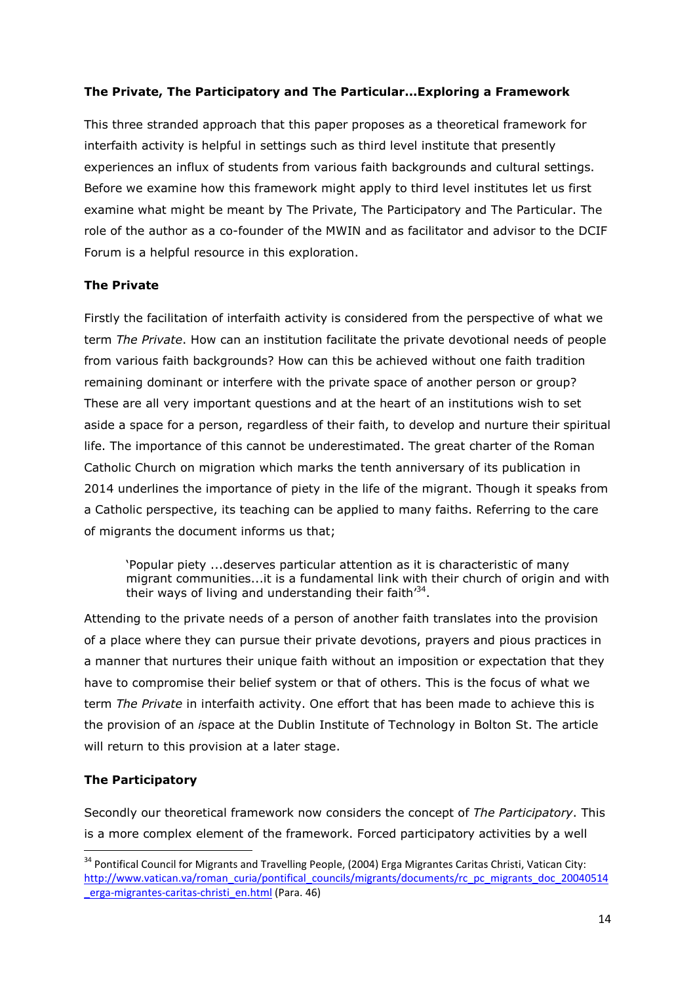### The Private, The Participatory and The Particular...Exploring a Framework

This three stranded approach that this paper proposes as a theoretical framework for interfaith activity is helpful in settings such as third level institute that presently experiences an influx of students from various faith backgrounds and cultural settings. Before we examine how this framework might apply to third level institutes let us first examine what might be meant by The Private, The Participatory and The Particular. The role of the author as a co-founder of the MWIN and as facilitator and advisor to the DCIF Forum is a helpful resource in this exploration.

#### The Private

Firstly the facilitation of interfaith activity is considered from the perspective of what we term The Private. How can an institution facilitate the private devotional needs of people from various faith backgrounds? How can this be achieved without one faith tradition remaining dominant or interfere with the private space of another person or group? These are all very important questions and at the heart of an institutions wish to set aside a space for a person, regardless of their faith, to develop and nurture their spiritual life. The importance of this cannot be underestimated. The great charter of the Roman Catholic Church on migration which marks the tenth anniversary of its publication in 2014 underlines the importance of piety in the life of the migrant. Though it speaks from a Catholic perspective, its teaching can be applied to many faiths. Referring to the care of migrants the document informs us that;

'Popular piety ...deserves particular attention as it is characteristic of many migrant communities...it is a fundamental link with their church of origin and with their ways of living and understanding their faith'<sup>34</sup>.

Attending to the private needs of a person of another faith translates into the provision of a place where they can pursue their private devotions, prayers and pious practices in a manner that nurtures their unique faith without an imposition or expectation that they have to compromise their belief system or that of others. This is the focus of what we term The Private in interfaith activity. One effort that has been made to achieve this is the provision of an ispace at the Dublin Institute of Technology in Bolton St. The article will return to this provision at a later stage.

## The Participatory

 $\overline{a}$ 

Secondly our theoretical framework now considers the concept of The Participatory. This is a more complex element of the framework. Forced participatory activities by a well

<sup>&</sup>lt;sup>34</sup> Pontifical Council for Migrants and Travelling People, (2004) Erga Migrantes Caritas Christi, Vatican City: http://www.vatican.va/roman\_curia/pontifical\_councils/migrants/documents/rc\_pc\_migrants\_doc\_20040514 erga-migrantes-caritas-christi\_en.html (Para. 46)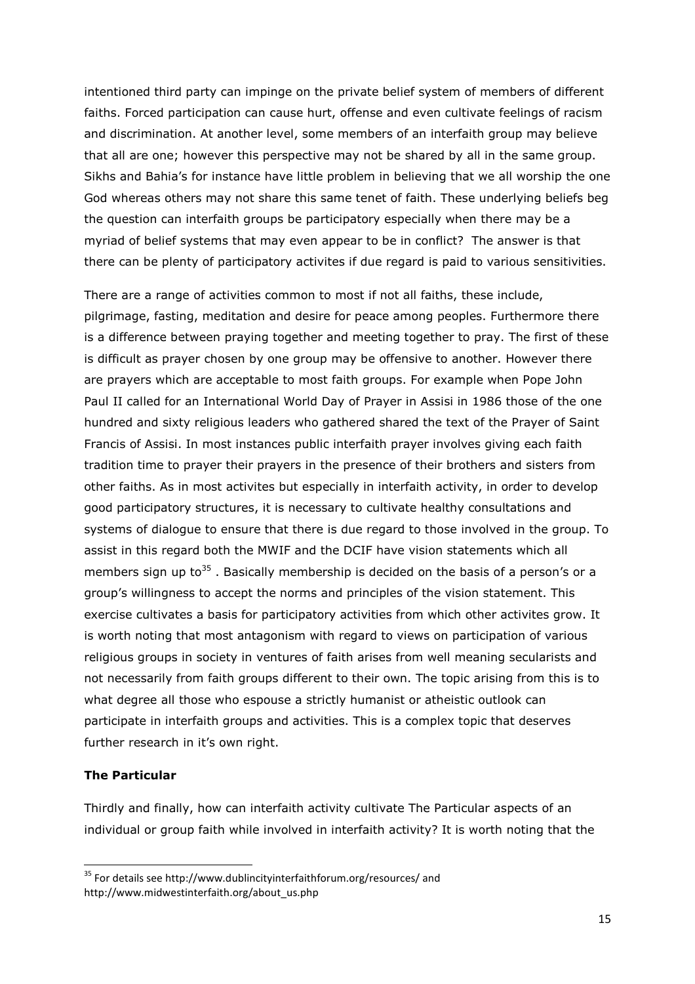intentioned third party can impinge on the private belief system of members of different faiths. Forced participation can cause hurt, offense and even cultivate feelings of racism and discrimination. At another level, some members of an interfaith group may believe that all are one; however this perspective may not be shared by all in the same group. Sikhs and Bahia's for instance have little problem in believing that we all worship the one God whereas others may not share this same tenet of faith. These underlying beliefs beg the question can interfaith groups be participatory especially when there may be a myriad of belief systems that may even appear to be in conflict? The answer is that there can be plenty of participatory activites if due regard is paid to various sensitivities.

There are a range of activities common to most if not all faiths, these include, pilgrimage, fasting, meditation and desire for peace among peoples. Furthermore there is a difference between praying together and meeting together to pray. The first of these is difficult as prayer chosen by one group may be offensive to another. However there are prayers which are acceptable to most faith groups. For example when Pope John Paul II called for an International World Day of Prayer in Assisi in 1986 those of the one hundred and sixty religious leaders who gathered shared the text of the Prayer of Saint Francis of Assisi. In most instances public interfaith prayer involves giving each faith tradition time to prayer their prayers in the presence of their brothers and sisters from other faiths. As in most activites but especially in interfaith activity, in order to develop good participatory structures, it is necessary to cultivate healthy consultations and systems of dialogue to ensure that there is due regard to those involved in the group. To assist in this regard both the MWIF and the DCIF have vision statements which all members sign up to<sup>35</sup>. Basically membership is decided on the basis of a person's or a group's willingness to accept the norms and principles of the vision statement. This exercise cultivates a basis for participatory activities from which other activites grow. It is worth noting that most antagonism with regard to views on participation of various religious groups in society in ventures of faith arises from well meaning secularists and not necessarily from faith groups different to their own. The topic arising from this is to what degree all those who espouse a strictly humanist or atheistic outlook can participate in interfaith groups and activities. This is a complex topic that deserves further research in it's own right.

#### The Particular

 $\overline{\phantom{0}}$ 

Thirdly and finally, how can interfaith activity cultivate The Particular aspects of an individual or group faith while involved in interfaith activity? It is worth noting that the

<sup>&</sup>lt;sup>35</sup> For details see http://www.dublincityinterfaithforum.org/resources/ and http://www.midwestinterfaith.org/about\_us.php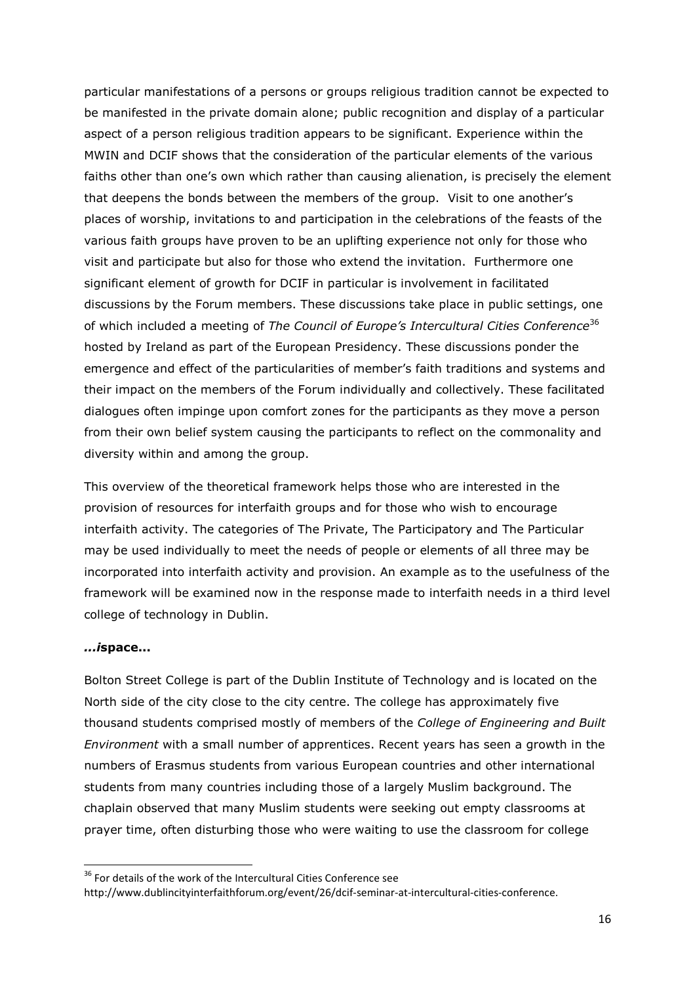particular manifestations of a persons or groups religious tradition cannot be expected to be manifested in the private domain alone; public recognition and display of a particular aspect of a person religious tradition appears to be significant. Experience within the MWIN and DCIF shows that the consideration of the particular elements of the various faiths other than one's own which rather than causing alienation, is precisely the element that deepens the bonds between the members of the group. Visit to one another's places of worship, invitations to and participation in the celebrations of the feasts of the various faith groups have proven to be an uplifting experience not only for those who visit and participate but also for those who extend the invitation. Furthermore one significant element of growth for DCIF in particular is involvement in facilitated discussions by the Forum members. These discussions take place in public settings, one of which included a meeting of The Council of Europe's Intercultural Cities Conference<sup>36</sup> hosted by Ireland as part of the European Presidency. These discussions ponder the emergence and effect of the particularities of member's faith traditions and systems and their impact on the members of the Forum individually and collectively. These facilitated dialogues often impinge upon comfort zones for the participants as they move a person from their own belief system causing the participants to reflect on the commonality and diversity within and among the group.

This overview of the theoretical framework helps those who are interested in the provision of resources for interfaith groups and for those who wish to encourage interfaith activity. The categories of The Private, The Participatory and The Particular may be used individually to meet the needs of people or elements of all three may be incorporated into interfaith activity and provision. An example as to the usefulness of the framework will be examined now in the response made to interfaith needs in a third level college of technology in Dublin.

#### ...ispace...

 $\overline{\phantom{0}}$ 

Bolton Street College is part of the Dublin Institute of Technology and is located on the North side of the city close to the city centre. The college has approximately five thousand students comprised mostly of members of the College of Engineering and Built Environment with a small number of apprentices. Recent years has seen a growth in the numbers of Erasmus students from various European countries and other international students from many countries including those of a largely Muslim background. The chaplain observed that many Muslim students were seeking out empty classrooms at prayer time, often disturbing those who were waiting to use the classroom for college

<sup>&</sup>lt;sup>36</sup> For details of the work of the Intercultural Cities Conference see

http://www.dublincityinterfaithforum.org/event/26/dcif-seminar-at-intercultural-cities-conference.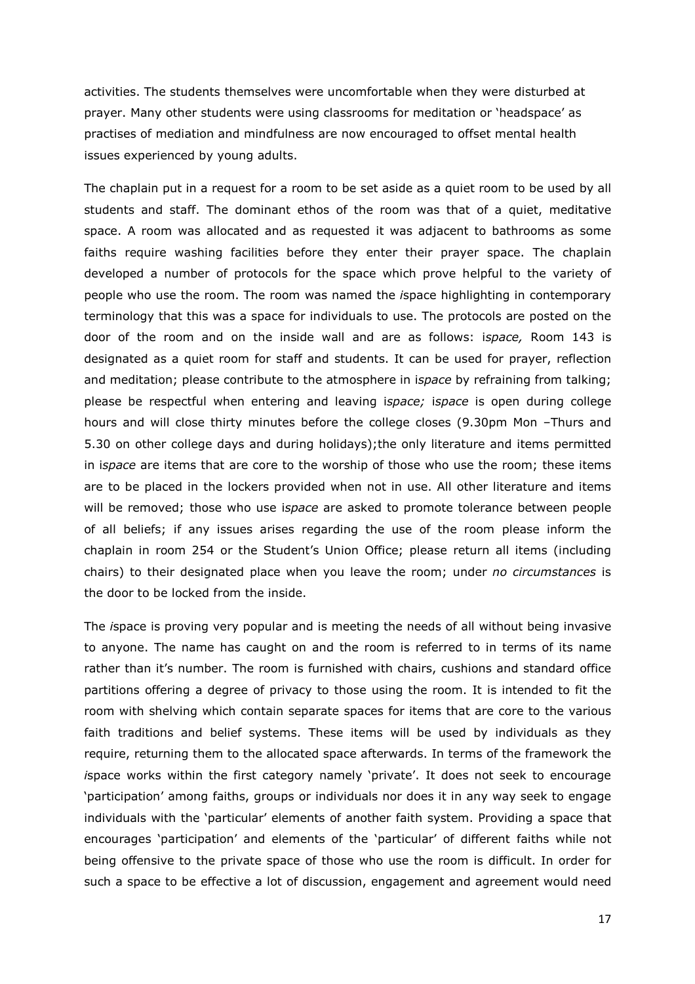activities. The students themselves were uncomfortable when they were disturbed at prayer. Many other students were using classrooms for meditation or 'headspace' as practises of mediation and mindfulness are now encouraged to offset mental health issues experienced by young adults.

The chaplain put in a request for a room to be set aside as a quiet room to be used by all students and staff. The dominant ethos of the room was that of a quiet, meditative space. A room was allocated and as requested it was adjacent to bathrooms as some faiths require washing facilities before they enter their prayer space. The chaplain developed a number of protocols for the space which prove helpful to the variety of people who use the room. The room was named the ispace highlighting in contemporary terminology that this was a space for individuals to use. The protocols are posted on the door of the room and on the inside wall and are as follows: ispace, Room 143 is designated as a quiet room for staff and students. It can be used for prayer, reflection and meditation; please contribute to the atmosphere in ispace by refraining from talking; please be respectful when entering and leaving ispace; ispace is open during college hours and will close thirty minutes before the college closes (9.30pm Mon –Thurs and 5.30 on other college days and during holidays);the only literature and items permitted in ispace are items that are core to the worship of those who use the room; these items are to be placed in the lockers provided when not in use. All other literature and items will be removed; those who use ispace are asked to promote tolerance between people of all beliefs; if any issues arises regarding the use of the room please inform the chaplain in room 254 or the Student's Union Office; please return all items (including chairs) to their designated place when you leave the room; under no circumstances is the door to be locked from the inside.

The ispace is proving very popular and is meeting the needs of all without being invasive to anyone. The name has caught on and the room is referred to in terms of its name rather than it's number. The room is furnished with chairs, cushions and standard office partitions offering a degree of privacy to those using the room. It is intended to fit the room with shelving which contain separate spaces for items that are core to the various faith traditions and belief systems. These items will be used by individuals as they require, returning them to the allocated space afterwards. In terms of the framework the ispace works within the first category namely 'private'. It does not seek to encourage 'participation' among faiths, groups or individuals nor does it in any way seek to engage individuals with the 'particular' elements of another faith system. Providing a space that encourages 'participation' and elements of the 'particular' of different faiths while not being offensive to the private space of those who use the room is difficult. In order for such a space to be effective a lot of discussion, engagement and agreement would need